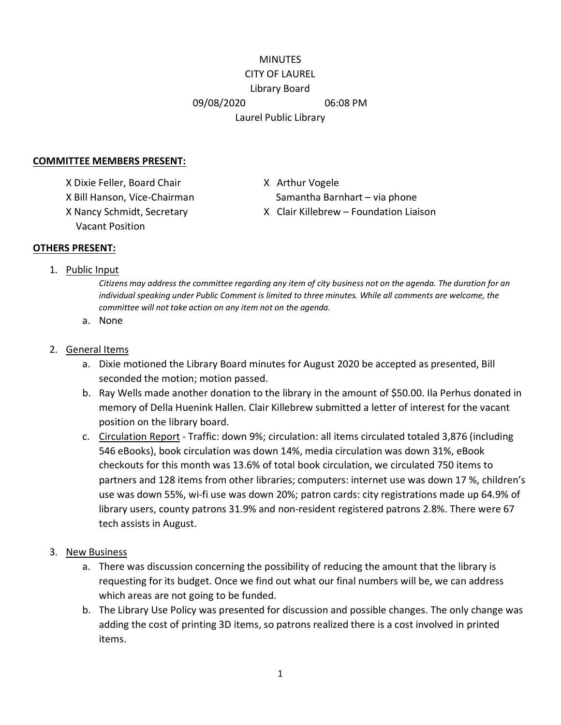## MINUTES CITY OF LAUREL Library Board 09/08/2020 06:08 PM Laurel Public Library

## **COMMITTEE MEMBERS PRESENT:**

X Dixie Feller, Board Chair X Arthur Vogele Vacant Position

X Bill Hanson, Vice-Chairman Samantha Barnhart – via phone X Nancy Schmidt, Secretary X Clair Killebrew – Foundation Liaison

## **OTHERS PRESENT:**

1. Public Input

*Citizens may address the committee regarding any item of city business not on the agenda. The duration for an individual speaking under Public Comment is limited to three minutes. While all comments are welcome, the committee will not take action on any item not on the agenda.*

a. None

## 2. General Items

- a. Dixie motioned the Library Board minutes for August 2020 be accepted as presented, Bill seconded the motion; motion passed.
- b. Ray Wells made another donation to the library in the amount of \$50.00. Ila Perhus donated in memory of Della Huenink Hallen. Clair Killebrew submitted a letter of interest for the vacant position on the library board.
- c. Circulation Report Traffic: down 9%; circulation: all items circulated totaled 3,876 (including 546 eBooks), book circulation was down 14%, media circulation was down 31%, eBook checkouts for this month was 13.6% of total book circulation, we circulated 750 items to partners and 128 items from other libraries; computers: internet use was down 17 %, children's use was down 55%, wi-fi use was down 20%; patron cards: city registrations made up 64.9% of library users, county patrons 31.9% and non-resident registered patrons 2.8%. There were 67 tech assists in August.
- 3. New Business
	- a. There was discussion concerning the possibility of reducing the amount that the library is requesting for its budget. Once we find out what our final numbers will be, we can address which areas are not going to be funded.
	- b. The Library Use Policy was presented for discussion and possible changes. The only change was adding the cost of printing 3D items, so patrons realized there is a cost involved in printed items.